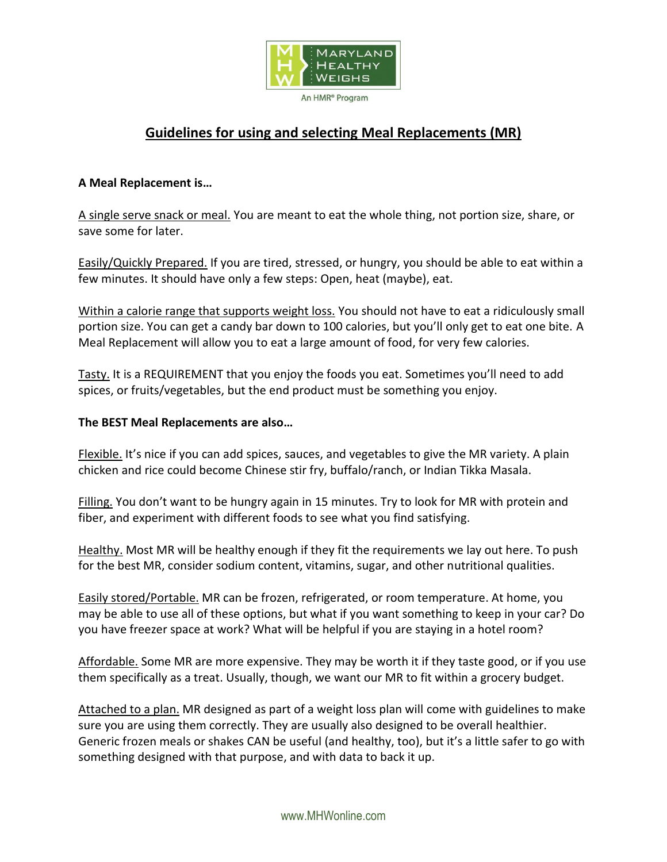

# **Guidelines for using and selecting Meal Replacements (MR)**

## **A Meal Replacement is…**

A single serve snack or meal. You are meant to eat the whole thing, not portion size, share, or save some for later.

Easily/Quickly Prepared. If you are tired, stressed, or hungry, you should be able to eat within a few minutes. It should have only a few steps: Open, heat (maybe), eat.

Within a calorie range that supports weight loss. You should not have to eat a ridiculously small portion size. You can get a candy bar down to 100 calories, but you'll only get to eat one bite. A Meal Replacement will allow you to eat a large amount of food, for very few calories.

Tasty. It is a REQUIREMENT that you enjoy the foods you eat. Sometimes you'll need to add spices, or fruits/vegetables, but the end product must be something you enjoy.

### **The BEST Meal Replacements are also…**

Flexible. It's nice if you can add spices, sauces, and vegetables to give the MR variety. A plain chicken and rice could become Chinese stir fry, buffalo/ranch, or Indian Tikka Masala.

Filling. You don't want to be hungry again in 15 minutes. Try to look for MR with protein and fiber, and experiment with different foods to see what you find satisfying.

Healthy. Most MR will be healthy enough if they fit the requirements we lay out here. To push for the best MR, consider sodium content, vitamins, sugar, and other nutritional qualities.

Easily stored/Portable. MR can be frozen, refrigerated, or room temperature. At home, you may be able to use all of these options, but what if you want something to keep in your car? Do you have freezer space at work? What will be helpful if you are staying in a hotel room?

Affordable. Some MR are more expensive. They may be worth it if they taste good, or if you use them specifically as a treat. Usually, though, we want our MR to fit within a grocery budget.

Attached to a plan. MR designed as part of a weight loss plan will come with guidelines to make sure you are using them correctly. They are usually also designed to be overall healthier. Generic frozen meals or shakes CAN be useful (and healthy, too), but it's a little safer to go with something designed with that purpose, and with data to back it up.